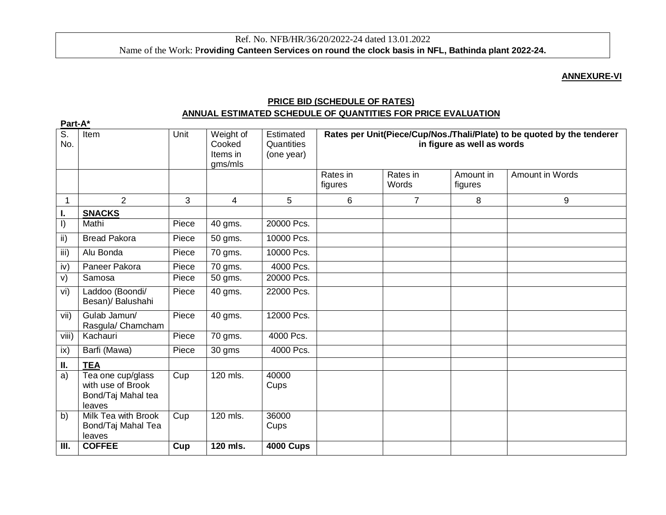### **ANNEXURE-VI**

# **PRICE BID (SCHEDULE OF RATES) ANNUAL ESTIMATED SCHEDULE OF QUANTITIES FOR PRICE EVALUATION**

| Part-A*          |                                                                        |                   |                                            |                                       |                                                                                                       |                   |                      |                 |
|------------------|------------------------------------------------------------------------|-------------------|--------------------------------------------|---------------------------------------|-------------------------------------------------------------------------------------------------------|-------------------|----------------------|-----------------|
| S.<br>No.        | Item                                                                   | Unit              | Weight of<br>Cooked<br>Items in<br>gms/mls | Estimated<br>Quantities<br>(one year) | Rates per Unit(Piece/Cup/Nos./Thali/Plate) to be quoted by the tenderer<br>in figure as well as words |                   |                      |                 |
|                  |                                                                        |                   |                                            |                                       | Rates in<br>figures                                                                                   | Rates in<br>Words | Amount in<br>figures | Amount in Words |
|                  | $\overline{2}$                                                         | 3                 | $\overline{4}$                             | 5                                     | $6\phantom{1}$                                                                                        | $\overline{7}$    | 8                    | 9               |
| L.               | <b>SNACKS</b>                                                          |                   |                                            |                                       |                                                                                                       |                   |                      |                 |
| $\vert$          | Mathi                                                                  | Piece             | 40 gms.                                    | 20000 Pcs.                            |                                                                                                       |                   |                      |                 |
| $\overline{ii}$  | <b>Bread Pakora</b>                                                    | Piece             | 50 gms.                                    | 10000 Pcs.                            |                                                                                                       |                   |                      |                 |
| $\overline{iii}$ | Alu Bonda                                                              | Piece             | 70 gms.                                    | 10000 Pcs.                            |                                                                                                       |                   |                      |                 |
| iv)              | Paneer Pakora                                                          | Piece             | 70 gms.                                    | 4000 Pcs.                             |                                                                                                       |                   |                      |                 |
| V)               | Samosa                                                                 | Piece             | 50 gms.                                    | 20000 Pcs.                            |                                                                                                       |                   |                      |                 |
| vi)              | Laddoo (Boondi/<br>Besan)/ Balushahi                                   | Piece             | 40 gms.                                    | 22000 Pcs.                            |                                                                                                       |                   |                      |                 |
| vii)             | Gulab Jamun/<br>Rasgula/ Chamcham                                      | Piece             | 40 gms.                                    | 12000 Pcs.                            |                                                                                                       |                   |                      |                 |
| viii)            | Kachauri                                                               | Piece             | 70 gms.                                    | 4000 Pcs.                             |                                                                                                       |                   |                      |                 |
| ix)              | Barfi (Mawa)                                                           | Piece             | 30 gms                                     | 4000 Pcs.                             |                                                                                                       |                   |                      |                 |
| П.               | <b>TEA</b>                                                             |                   |                                            |                                       |                                                                                                       |                   |                      |                 |
| a)               | Tea one cup/glass<br>with use of Brook<br>Bond/Taj Mahal tea<br>leaves | $\overline{C}$ up | 120 mls.                                   | 40000<br>Cups                         |                                                                                                       |                   |                      |                 |
| b)               | Milk Tea with Brook<br>Bond/Taj Mahal Tea<br>leaves                    | Cup               | 120 mls.                                   | 36000<br>Cups                         |                                                                                                       |                   |                      |                 |
| III.             | <b>COFFEE</b>                                                          | Cup               | 120 mls.                                   | <b>4000 Cups</b>                      |                                                                                                       |                   |                      |                 |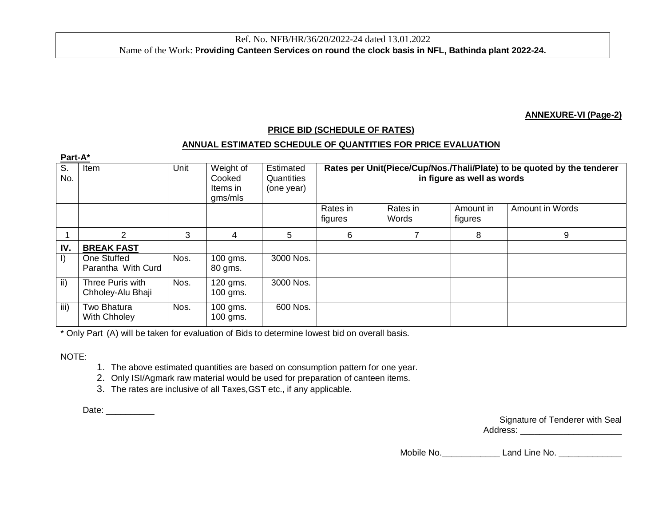#### **ANNEXURE-VI (Page-2)**

## **PRICE BID (SCHEDULE OF RATES)**

### **ANNUAL ESTIMATED SCHEDULE OF QUANTITIES FOR PRICE EVALUATION**

| Part-A*         |                                       |      |                                            |                                       |                                                                                                       |                   |                      |                 |
|-----------------|---------------------------------------|------|--------------------------------------------|---------------------------------------|-------------------------------------------------------------------------------------------------------|-------------------|----------------------|-----------------|
| S.<br>No.       | Item                                  | Unit | Weight of<br>Cooked<br>Items in<br>gms/mls | Estimated<br>Quantities<br>(one year) | Rates per Unit(Piece/Cup/Nos./Thali/Plate) to be quoted by the tenderer<br>in figure as well as words |                   |                      |                 |
|                 |                                       |      |                                            |                                       | Rates in<br>figures                                                                                   | Rates in<br>Words | Amount in<br>figures | Amount in Words |
|                 | 2                                     | 3    | 4                                          | 5                                     | 6                                                                                                     |                   | 8                    | 9               |
| IV.             | <b>BREAK FAST</b>                     |      |                                            |                                       |                                                                                                       |                   |                      |                 |
| I)              | One Stuffed<br>Parantha With Curd     | Nos. | 100 gms.<br>80 gms.                        | 3000 Nos.                             |                                                                                                       |                   |                      |                 |
| $\mathsf{ii}$ ) | Three Puris with<br>Chholey-Alu Bhaji | Nos. | 120 gms.<br>100 gms.                       | 3000 Nos.                             |                                                                                                       |                   |                      |                 |
| iii)            | Two Bhatura<br><b>With Chholey</b>    | Nos. | 100 gms.<br>100 gms.                       | 600 Nos.                              |                                                                                                       |                   |                      |                 |

\* Only Part (A) will be taken for evaluation of Bids to determine lowest bid on overall basis.

NOTE:

1. The above estimated quantities are based on consumption pattern for one year.

2. Only ISI/Agmark raw material would be used for preparation of canteen items.

3. The rates are inclusive of all Taxes,GST etc., if any applicable.

Date: \_\_\_\_\_\_\_\_\_\_\_\_\_\_

| Signature of Tenderer with Seal |  |
|---------------------------------|--|
| Address:                        |  |

Mobile No. \_\_\_\_\_\_\_\_\_\_\_\_\_\_\_\_\_\_\_\_\_\_ Land Line No. \_\_\_\_\_\_\_\_\_\_\_\_\_\_\_\_\_\_\_\_\_\_\_\_\_\_\_\_\_\_\_\_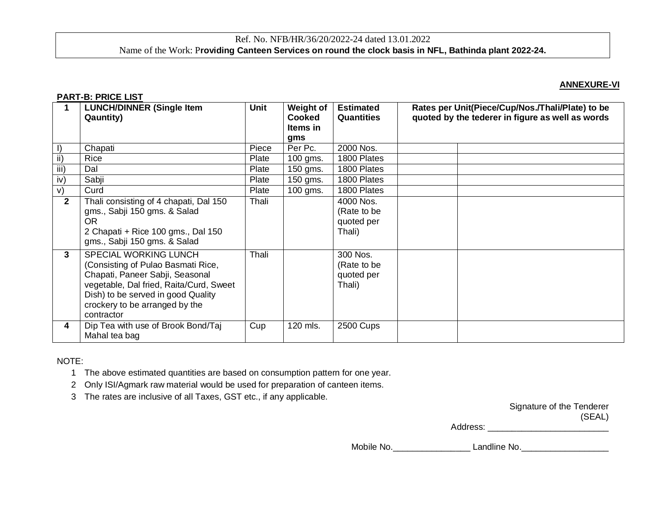## Ref. No. NFB/HR/36/20/2022-24 dated 13.01.2022 Name of the Work: P**roviding Canteen Services on round the clock basis in NFL, Bathinda plant 2022-24.**

#### **ANNEXURE-VI**

#### **PART-B: PRICE LIST**

|                | <b>LUNCH/DINNER (Single Item</b><br><b>Qauntity)</b>                                                                                                                                                                            | <b>Unit</b> | <b>Weight of</b><br><b>Cooked</b><br>Items in<br>gms | <b>Estimated</b><br><b>Quantities</b>            | Rates per Unit(Piece/Cup/Nos./Thali/Plate) to be<br>quoted by the tederer in figure as well as words |
|----------------|---------------------------------------------------------------------------------------------------------------------------------------------------------------------------------------------------------------------------------|-------------|------------------------------------------------------|--------------------------------------------------|------------------------------------------------------------------------------------------------------|
|                | Chapati                                                                                                                                                                                                                         | Piece       | Per Pc.                                              | 2000 Nos.                                        |                                                                                                      |
| ii)            | Rice                                                                                                                                                                                                                            | Plate       | 100 gms.                                             | 1800 Plates                                      |                                                                                                      |
| iii)           | Dal                                                                                                                                                                                                                             | Plate       | 150 gms.                                             | 1800 Plates                                      |                                                                                                      |
| iv)            | Sabji                                                                                                                                                                                                                           | Plate       | 150 gms.                                             | 1800 Plates                                      |                                                                                                      |
| V)             | Curd                                                                                                                                                                                                                            | Plate       | 100 gms.                                             | 1800 Plates                                      |                                                                                                      |
| $\overline{2}$ | Thali consisting of 4 chapati, Dal 150<br>gms., Sabji 150 gms. & Salad<br><b>OR</b><br>2 Chapati + Rice 100 gms., Dal 150<br>gms., Sabji 150 gms. & Salad                                                                       | Thali       |                                                      | 4000 Nos.<br>(Rate to be<br>quoted per<br>Thali) |                                                                                                      |
| 3              | SPECIAL WORKING LUNCH<br>(Consisting of Pulao Basmati Rice,<br>Chapati, Paneer Sabji, Seasonal<br>vegetable, Dal fried, Raita/Curd, Sweet<br>Dish) to be served in good Quality<br>crockery to be arranged by the<br>contractor | Thali       |                                                      | 300 Nos.<br>(Rate to be<br>quoted per<br>Thali)  |                                                                                                      |
| 4              | Dip Tea with use of Brook Bond/Taj<br>Mahal tea bag                                                                                                                                                                             | Cup         | 120 mls.                                             | 2500 Cups                                        |                                                                                                      |

#### NOTE:

1 The above estimated quantities are based on consumption pattern for one year.

2 Only ISI/Agmark raw material would be used for preparation of canteen items.

3 The rates are inclusive of all Taxes, GST etc., if any applicable.

|          | Signature of the Tenderer |
|----------|---------------------------|
|          | (SEAL)                    |
| Address: |                           |

Mobile No.\_\_\_\_\_\_\_\_\_\_\_\_\_\_\_\_ Landline No.\_\_\_\_\_\_\_\_\_\_\_\_\_\_\_\_\_\_